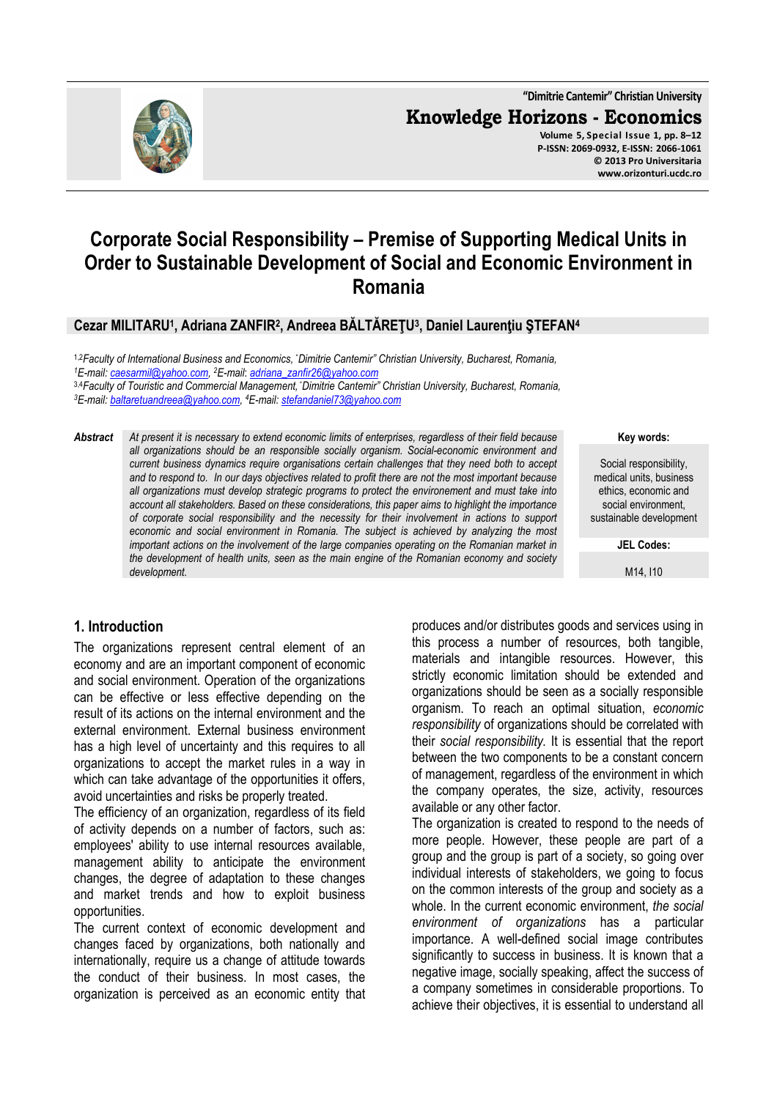# **Corporate Social Responsibility – Premise of Supporting Medical Units in Order to Sustainable Development of Social and Economic Environment in Romania**

**Cezar MILITARU<sup>1</sup> , Adriana ZANFIR<sup>2</sup> , Andreea BĂLTĂREŢU<sup>3</sup> , Daniel Laurenţiu ŞTEFAN<sup>4</sup>**

1,2*Faculty of International Business and Economics,* "*Dimitrie Cantemir" Christian University, Bucharest, Romania, <sup>1</sup>E-mail: caesarmil@yahoo.com, <sup>2</sup>E-mail*: *adriana\_zanfir26@yahoo.com* 3,4*Faculty of Touristic and Commercial Management,* "*Dimitrie Cantemir" Christian University, Bucharest, Romania, <sup>3</sup>E-mail: baltaretuandreea@yahoo.com, <sup>4</sup>E-mail: stefandaniel73@yahoo.com*

*Abstract At present it is necessary to extend economic limits of enterprises, regardless of their field because all organizations should be an responsible socially organism. Social-economic environment and current business dynamics require organisations certain challenges that they need both to accept and to respond to. In our days objectives related to profit there are not the most important because all organizations must develop strategic programs to protect the environement and must take into account all stakeholders. Based on these considerations, this paper aims to highlight the importance of corporate social responsibility and the necessity for their involvement in actions to support economic and social environment in Romania. The subject is achieved by analyzing the most important actions on the involvement of the large companies operating on the Romanian market in the development of health units, seen as the main engine of the Romanian economy and society development.* 

**Key words:**

**www.orizonturi.ucdc.ro**

Social responsibility, medical units, business ethics, economic and social environment, sustainable development

**JEL Codes:**

M14, I10

#### **1. Introduction**

The organizations represent central element of an economy and are an important component of economic and social environment. Operation of the organizations can be effective or less effective depending on the result of its actions on the internal environment and the external environment. External business environment has a high level of uncertainty and this requires to all organizations to accept the market rules in a way in which can take advantage of the opportunities it offers, avoid uncertainties and risks be properly treated.

The efficiency of an organization, regardless of its field of activity depends on a number of factors, such as: employees' ability to use internal resources available, management ability to anticipate the environment changes, the degree of adaptation to these changes and market trends and how to exploit business opportunities.

The current context of economic development and changes faced by organizations, both nationally and internationally, require us a change of attitude towards the conduct of their business. In most cases, the organization is perceived as an economic entity that produces and/or distributes goods and services using in this process a number of resources, both tangible, materials and intangible resources. However, this strictly economic limitation should be extended and organizations should be seen as a socially responsible organism. To reach an optimal situation, *economic responsibility* of organizations should be correlated with their *social responsibility.* It is essential that the report between the two components to be a constant concern of management, regardless of the environment in which the company operates, the size, activity, resources available or any other factor.

The organization is created to respond to the needs of more people. However, these people are part of a group and the group is part of a society, so going over individual interests of stakeholders, we going to focus on the common interests of the group and society as a whole. In the current economic environment, *the social environment of organizations* has a particular importance. A well-defined social image contributes significantly to success in business. It is known that a negative image, socially speaking, affect the success of a company sometimes in considerable proportions. To achieve their objectives, it is essential to understand all

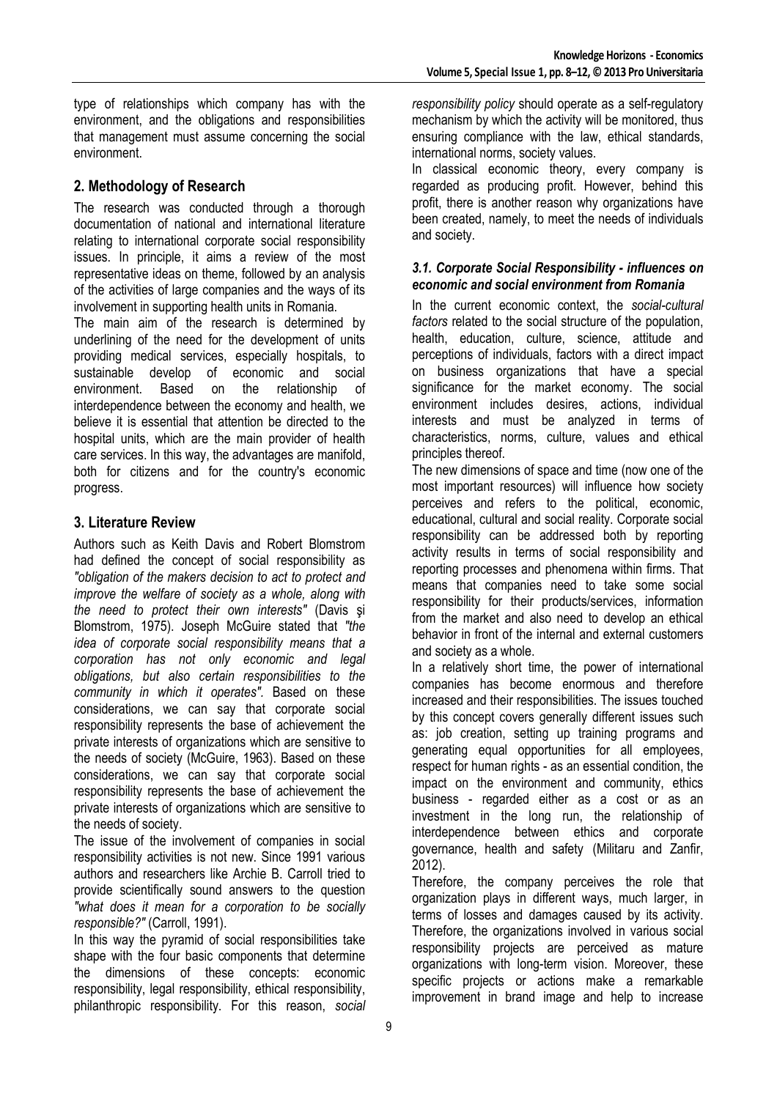type of relationships which company has with the environment, and the obligations and responsibilities that management must assume concerning the social environment.

# **2. Methodology of Research**

The research was conducted through a thorough documentation of national and international literature relating to international corporate social responsibility issues. In principle, it aims a review of the most representative ideas on theme, followed by an analysis of the activities of large companies and the ways of its involvement in supporting health units in Romania.

The main aim of the research is determined by underlining of the need for the development of units providing medical services, especially hospitals, to sustainable develop of economic and social environment. Based on the relationship of interdependence between the economy and health, we believe it is essential that attention be directed to the hospital units, which are the main provider of health care services. In this way, the advantages are manifold, both for citizens and for the country's economic progress.

## **3. Literature Review**

Authors such as Keith Davis and Robert Blomstrom had defined the concept of social responsibility as *"obligation of the makers decision to act to protect and improve the welfare of society as a whole, along with the need to protect their own interests"* (Davis şi Blomstrom, 1975). Joseph McGuire stated that *"the idea of corporate social responsibility means that a corporation has not only economic and legal obligations, but also certain responsibilities to the community in which it operates".* Based on these considerations, we can say that corporate social responsibility represents the base of achievement the private interests of organizations which are sensitive to the needs of society (McGuire, 1963). Based on these considerations, we can say that corporate social responsibility represents the base of achievement the private interests of organizations which are sensitive to the needs of society.

The issue of the involvement of companies in social responsibility activities is not new. Since 1991 various authors and researchers like Archie B. Carroll tried to provide scientifically sound answers to the question *"what does it mean for a corporation to be socially responsible?"* (Carroll, 1991).

In this way the pyramid of social responsibilities take shape with the four basic components that determine the dimensions of these concepts: economic responsibility, legal responsibility, ethical responsibility, philanthropic responsibility. For this reason, *social* 

*responsibility policy* should operate as a self-regulatory mechanism by which the activity will be monitored, thus ensuring compliance with the law, ethical standards, international norms, society values.

In classical economic theory, every company is regarded as producing profit. However, behind this profit, there is another reason why organizations have been created, namely, to meet the needs of individuals and society.

#### *3.1. Corporate Social Responsibility - influences on economic and social environment from Romania*

In the current economic context, the *social-cultural factors* related to the social structure of the population, health, education, culture, science, attitude and perceptions of individuals, factors with a direct impact on business organizations that have a special significance for the market economy. The social environment includes desires, actions, individual interests and must be analyzed in terms of characteristics, norms, culture, values and ethical principles thereof.

The new dimensions of space and time (now one of the most important resources) will influence how society perceives and refers to the political, economic, educational, cultural and social reality. Corporate social responsibility can be addressed both by reporting activity results in terms of social responsibility and reporting processes and phenomena within firms. That means that companies need to take some social responsibility for their products/services, information from the market and also need to develop an ethical behavior in front of the internal and external customers and society as a whole.

In a relatively short time, the power of international companies has become enormous and therefore increased and their responsibilities. The issues touched by this concept covers generally different issues such as: job creation, setting up training programs and generating equal opportunities for all employees, respect for human rights - as an essential condition, the impact on the environment and community, ethics business - regarded either as a cost or as an investment in the long run, the relationship of interdependence between ethics and corporate governance, health and safety (Militaru and Zanfir, 2012).

Therefore, the company perceives the role that organization plays in different ways, much larger, in terms of losses and damages caused by its activity. Therefore, the organizations involved in various social responsibility projects are perceived as mature organizations with long-term vision. Moreover, these specific projects or actions make a remarkable improvement in brand image and help to increase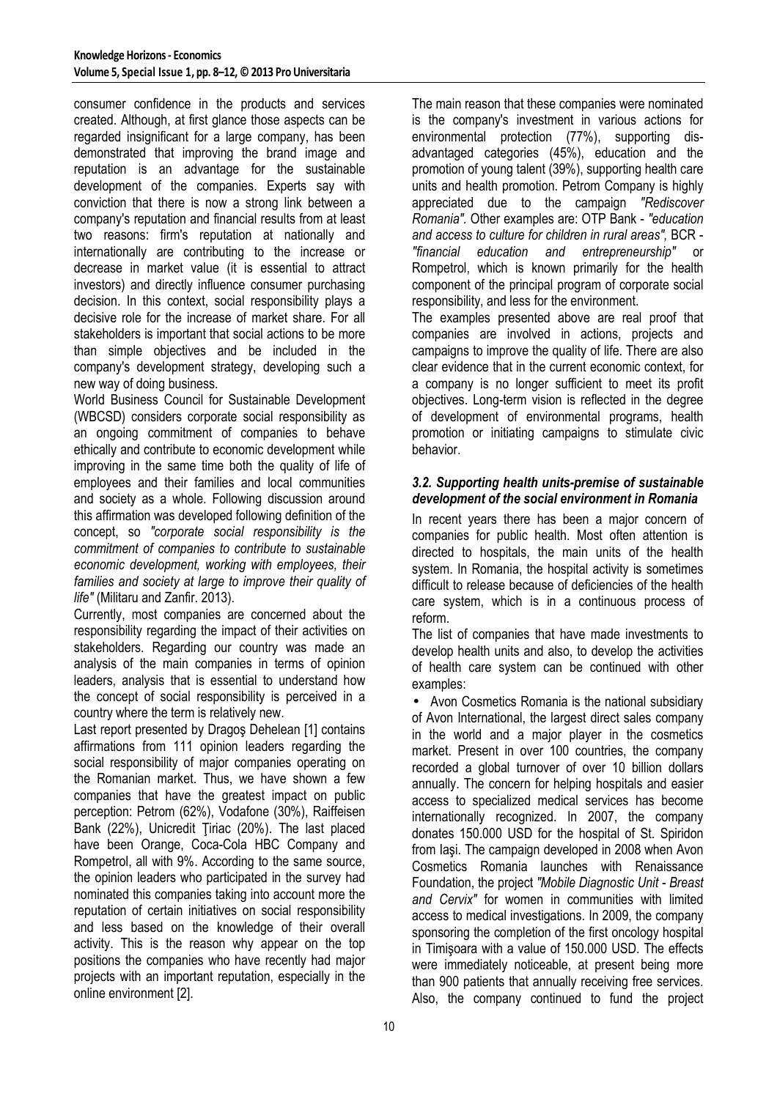consumer confidence in the products and services created. Although, at first glance those aspects can be regarded insignificant for a large company, has been demonstrated that improving the brand image and reputation is an advantage for the sustainable development of the companies. Experts say with conviction that there is now a strong link between a company's reputation and financial results from at least two reasons: firm's reputation at nationally and internationally are contributing to the increase or decrease in market value (it is essential to attract investors) and directly influence consumer purchasing decision. In this context, social responsibility plays a decisive role for the increase of market share. For all stakeholders is important that social actions to be more than simple objectives and be included in the company's development strategy, developing such a new way of doing business.

World Business Council for Sustainable Development (WBCSD) considers corporate social responsibility as an ongoing commitment of companies to behave ethically and contribute to economic development while improving in the same time both the quality of life of employees and their families and local communities and society as a whole. Following discussion around this affirmation was developed following definition of the concept, so *"corporate social responsibility is the commitment of companies to contribute to sustainable economic development, working with employees, their families and society at large to improve their quality of life"* (Militaru and Zanfir. 2013).

Currently, most companies are concerned about the responsibility regarding the impact of their activities on stakeholders. Regarding our country was made an analysis of the main companies in terms of opinion leaders, analysis that is essential to understand how the concept of social responsibility is perceived in a country where the term is relatively new.

Last report presented by Dragoş Dehelean [1] contains affirmations from 111 opinion leaders regarding the social responsibility of major companies operating on the Romanian market. Thus, we have shown a few companies that have the greatest impact on public perception: Petrom (62%), Vodafone (30%), Raiffeisen Bank (22%), Unicredit Ţiriac (20%). The last placed have been Orange, Coca-Cola HBC Company and Rompetrol, all with 9%. According to the same source, the opinion leaders who participated in the survey had nominated this companies taking into account more the reputation of certain initiatives on social responsibility and less based on the knowledge of their overall activity. This is the reason why appear on the top positions the companies who have recently had major projects with an important reputation, especially in the online environment [2].

The main reason that these companies were nominated is the company's investment in various actions for environmental protection (77%), supporting disadvantaged categories (45%), education and the promotion of young talent (39%), supporting health care units and health promotion. Petrom Company is highly appreciated due to the campaign *"Rediscover Romania".* Other examples are: OTP Bank - *"education and access to culture for children in rural areas",* BCR - *"financial education and entrepreneurship"* or Rompetrol, which is known primarily for the health component of the principal program of corporate social responsibility, and less for the environment.

The examples presented above are real proof that companies are involved in actions, projects and campaigns to improve the quality of life. There are also clear evidence that in the current economic context, for a company is no longer sufficient to meet its profit objectives. Long-term vision is reflected in the degree of development of environmental programs, health promotion or initiating campaigns to stimulate civic behavior.

#### *3.2. Supporting health units-premise of sustainable development of the social environment in Romania*

In recent years there has been a major concern of companies for public health. Most often attention is directed to hospitals, the main units of the health system. In Romania, the hospital activity is sometimes difficult to release because of deficiencies of the health care system, which is in a continuous process of reform.

The list of companies that have made investments to develop health units and also, to develop the activities of health care system can be continued with other examples:

• Avon Cosmetics Romania is the national subsidiary of Avon International, the largest direct sales company in the world and a major player in the cosmetics market. Present in over 100 countries, the company recorded a global turnover of over 10 billion dollars annually. The concern for helping hospitals and easier access to specialized medical services has become internationally recognized. In 2007, the company donates 150.000 USD for the hospital of St. Spiridon from Iaşi. The campaign developed in 2008 when Avon Cosmetics Romania launches with Renaissance Foundation, the project *"Mobile Diagnostic Unit - Breast and Cervix"* for women in communities with limited access to medical investigations. In 2009, the company sponsoring the completion of the first oncology hospital in Timişoara with a value of 150.000 USD. The effects were immediately noticeable, at present being more than 900 patients that annually receiving free services. Also, the company continued to fund the project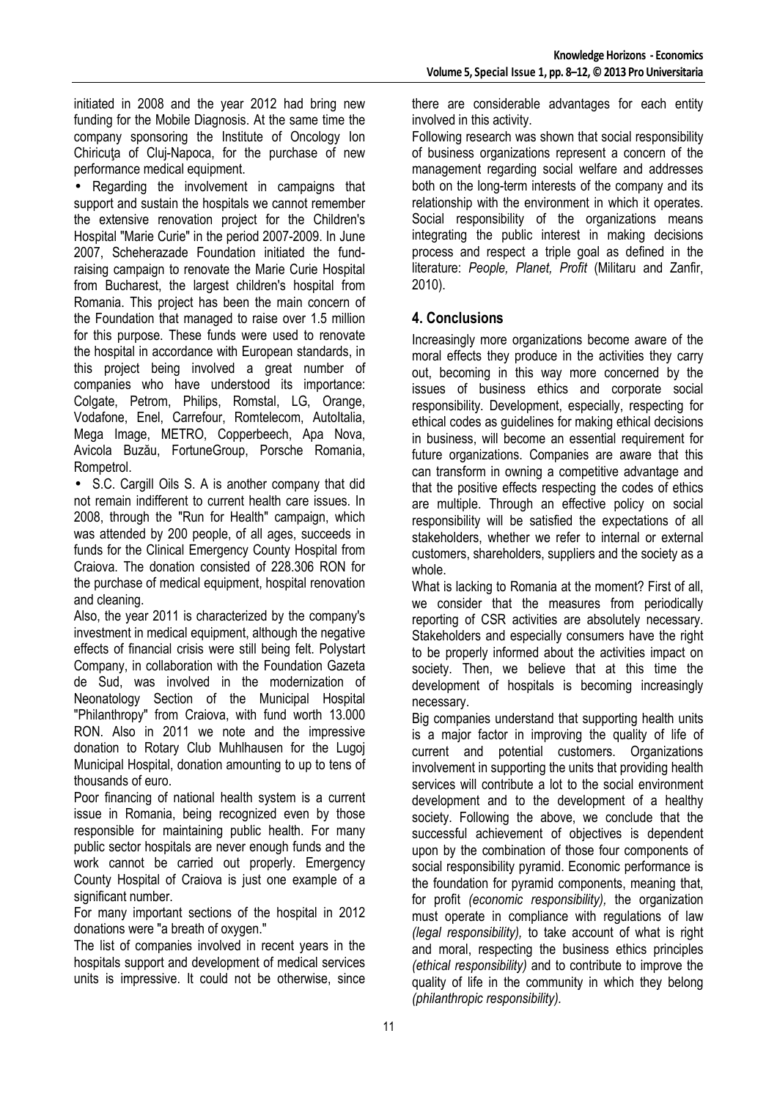initiated in 2008 and the year 2012 had bring new funding for the Mobile Diagnosis. At the same time the company sponsoring the Institute of Oncology Ion Chiricuta of Clui-Napoca, for the purchase of new performance medical equipment.

• Regarding the involvement in campaigns that support and sustain the hospitals we cannot remember the extensive renovation project for the Children's Hospital "Marie Curie" in the period 2007-2009. In June 2007, Scheherazade Foundation initiated the fundraising campaign to renovate the Marie Curie Hospital from Bucharest, the largest children's hospital from Romania. This project has been the main concern of the Foundation that managed to raise over 1.5 million for this purpose. These funds were used to renovate the hospital in accordance with European standards, in this project being involved a great number of companies who have understood its importance: Colgate, Petrom, Philips, Romstal, LG, Orange, Vodafone, Enel, Carrefour, Romtelecom, AutoItalia, Mega Image, METRO, Copperbeech, Apa Nova, Avicola Buzău, FortuneGroup, Porsche Romania, Rompetrol.

• S.C. Cargill Oils S. A is another company that did not remain indifferent to current health care issues. In 2008, through the "Run for Health" campaign, which was attended by 200 people, of all ages, succeeds in funds for the Clinical Emergency County Hospital from Craiova. The donation consisted of 228.306 RON for the purchase of medical equipment, hospital renovation and cleaning.

Also, the year 2011 is characterized by the company's investment in medical equipment, although the negative effects of financial crisis were still being felt. Polystart Company, in collaboration with the Foundation Gazeta de Sud, was involved in the modernization of Neonatology Section of the Municipal Hospital "Philanthropy" from Craiova, with fund worth 13.000 RON. Also in 2011 we note and the impressive donation to Rotary Club Muhlhausen for the Lugoj Municipal Hospital, donation amounting to up to tens of thousands of euro.

Poor financing of national health system is a current issue in Romania, being recognized even by those responsible for maintaining public health. For many public sector hospitals are never enough funds and the work cannot be carried out properly. Emergency County Hospital of Craiova is just one example of a significant number.

For many important sections of the hospital in 2012 donations were "a breath of oxygen."

The list of companies involved in recent years in the hospitals support and development of medical services units is impressive. It could not be otherwise, since there are considerable advantages for each entity involved in this activity.

Following research was shown that social responsibility of business organizations represent a concern of the management regarding social welfare and addresses both on the long-term interests of the company and its relationship with the environment in which it operates. Social responsibility of the organizations means integrating the public interest in making decisions process and respect a triple goal as defined in the literature: *People, Planet, Profit* (Militaru and Zanfir, 2010).

## **4. Conclusions**

Increasingly more organizations become aware of the moral effects they produce in the activities they carry out, becoming in this way more concerned by the issues of business ethics and corporate social responsibility. Development, especially, respecting for ethical codes as guidelines for making ethical decisions in business, will become an essential requirement for future organizations. Companies are aware that this can transform in owning a competitive advantage and that the positive effects respecting the codes of ethics are multiple. Through an effective policy on social responsibility will be satisfied the expectations of all stakeholders, whether we refer to internal or external customers, shareholders, suppliers and the society as a whole.

What is lacking to Romania at the moment? First of all, we consider that the measures from periodically reporting of CSR activities are absolutely necessary. Stakeholders and especially consumers have the right to be properly informed about the activities impact on society. Then, we believe that at this time the development of hospitals is becoming increasingly necessary.

Big companies understand that supporting health units is a major factor in improving the quality of life of current and potential customers. Organizations involvement in supporting the units that providing health services will contribute a lot to the social environment development and to the development of a healthy society. Following the above, we conclude that the successful achievement of objectives is dependent upon by the combination of those four components of social responsibility pyramid. Economic performance is the foundation for pyramid components, meaning that, for profit *(economic responsibility),* the organization must operate in compliance with regulations of law *(legal responsibility),* to take account of what is right and moral, respecting the business ethics principles *(ethical responsibility)* and to contribute to improve the quality of life in the community in which they belong *(philanthropic responsibility).*